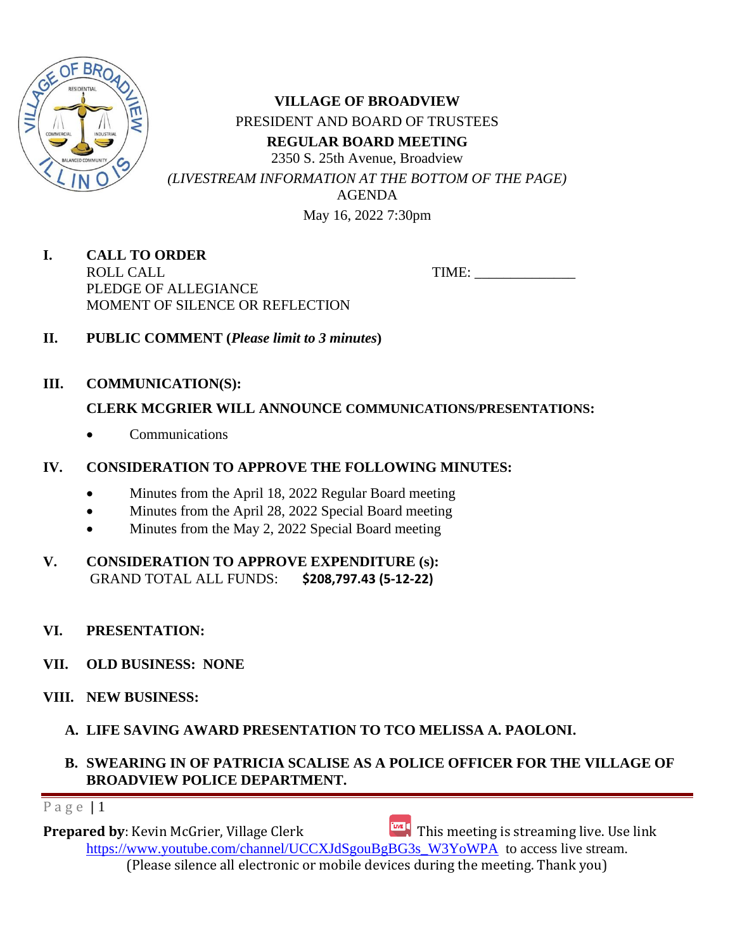

**VILLAGE OF BROADVIEW** PRESIDENT AND BOARD OF TRUSTEES **REGULAR BOARD MEETING** 2350 S. 25th Avenue, Broadview *(LIVESTREAM INFORMATION AT THE BOTTOM OF THE PAGE)* AGENDA May 16, 2022 7:30pm

**I. CALL TO ORDER** ROLL CALL TIME: \_\_\_\_\_\_\_\_\_\_\_\_\_\_ PLEDGE OF ALLEGIANCE MOMENT OF SILENCE OR REFLECTION

- **II. PUBLIC COMMENT (***Please limit to 3 minutes***)**
- **III. COMMUNICATION(S):**

## **CLERK MCGRIER WILL ANNOUNCE COMMUNICATIONS/PRESENTATIONS:**

• Communications

## **IV. CONSIDERATION TO APPROVE THE FOLLOWING MINUTES:**

- Minutes from the April 18, 2022 Regular Board meeting
- Minutes from the April 28, 2022 Special Board meeting
- Minutes from the May 2, 2022 Special Board meeting
- **V. CONSIDERATION TO APPROVE EXPENDITURE (s):**  GRAND TOTAL ALL FUNDS: **\$208,797.43 (5-12-22)**
- **VI. PRESENTATION:**
- **VII. OLD BUSINESS: NONE**
- **VIII. NEW BUSINESS:**
	- **A. LIFE SAVING AWARD PRESENTATION TO TCO MELISSA A. PAOLONI.**

## **B. SWEARING IN OF PATRICIA SCALISE AS A POLICE OFFICER FOR THE VILLAGE OF BROADVIEW POLICE DEPARTMENT.**

Page  $|1$ 

**Prepared by**: Kevin McGrier, Village Clerk This meeting is streaming live. Use link [https://www.youtube.com/channel/UCCXJdSgouBgBG3s\\_W3YoWPA](https://url.emailprotection.link/?bH1bmLuRP-9egfczNVLB6hb63GrVthrlQktmbLWCdnlWKtnqH_0My5vSConz-6IiWogulnQhcpjgSqn2pH3l8LnPX0oiVvrZUMgXhY5wbjZLAorLvVtxbK5Q_fJ98SdOZ) to access live stream. (Please silence all electronic or mobile devices during the meeting. Thank you)